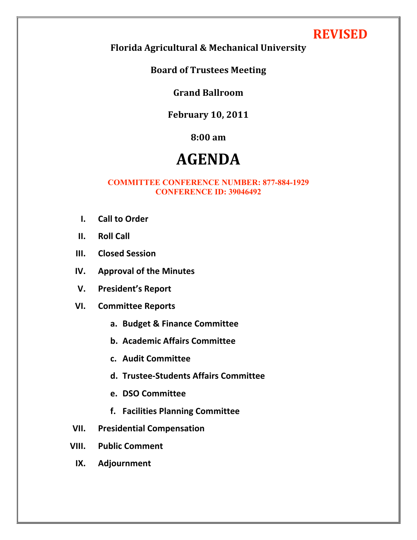# **REVISED**

**Florida
Agricultural
&
Mechanical
University**

**Board
of
Trustees
Meeting**

### **Grand
Ballroom**

## **February
10,
2011**

# **8:00
am**

# **AGENDA**

#### **COMMITTEE CONFERENCE NUMBER: 877-884-1929 CONFERENCE ID: 39046492**

- **I. Call
to
Order**
- **II. Roll
Call**
- **III. Closed
Session**
- **IV. Approval
of
the
Minutes**
- **V. President's
Report**
- **VI. Committee
Reports**
	- **a. Budget
	&
	Finance
	Committee**
	- **b. Academic
	Affairs
	Committee**
	- **c. Audit
	Committee**
	- **d. Trustee‐Students
	Affairs
	Committee**
	- **e. DSO
	Committee**
	- **f. Facilities
	Planning
	Committee**
- **VII. Presidential
Compensation**
- **VIII. Public
Comment**
	- **IX. Adjournment**